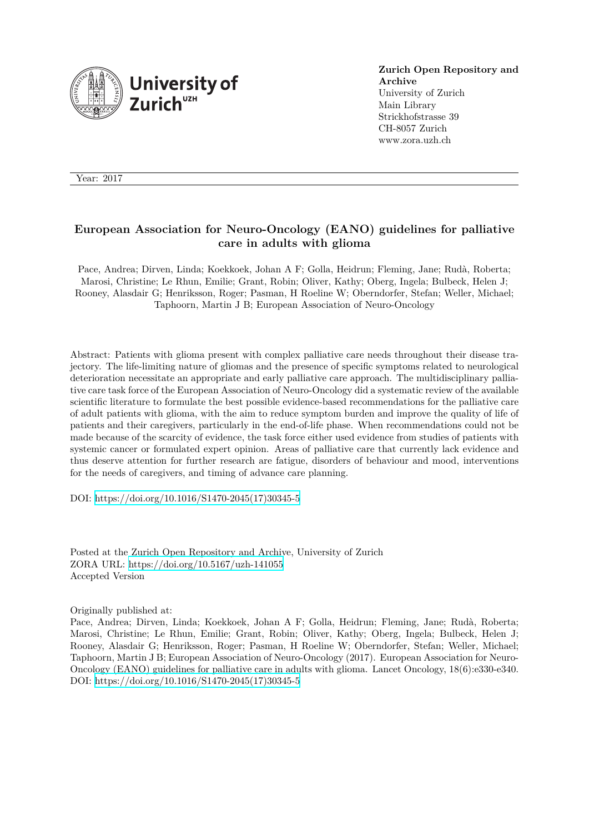

**Zurich Open Repository and Archive** University of Zurich Main Library Strickhofstrasse 39 CH-8057 Zurich www.zora.uzh.ch

Year: 2017

# **European Association for Neuro-Oncology (EANO) guidelines for palliative care in adults with glioma**

Pace, Andrea; Dirven, Linda; Koekkoek, Johan A F; Golla, Heidrun; Fleming, Jane; Rudà, Roberta; Marosi, Christine; Le Rhun, Emilie; Grant, Robin; Oliver, Kathy; Oberg, Ingela; Bulbeck, Helen J; Rooney, Alasdair G; Henriksson, Roger; Pasman, H Roeline W; Oberndorfer, Stefan; Weller, Michael; Taphoorn, Martin J B; European Association of Neuro-Oncology

Abstract: Patients with glioma present with complex palliative care needs throughout their disease trajectory. The life-limiting nature of gliomas and the presence of specific symptoms related to neurological deterioration necessitate an appropriate and early palliative care approach. The multidisciplinary palliative care task force of the European Association of Neuro-Oncology did a systematic review of the available scientific literature to formulate the best possible evidence-based recommendations for the palliative care of adult patients with glioma, with the aim to reduce symptom burden and improve the quality of life of patients and their caregivers, particularly in the end-of-life phase. When recommendations could not be made because of the scarcity of evidence, the task force either used evidence from studies of patients with systemic cancer or formulated expert opinion. Areas of palliative care that currently lack evidence and thus deserve attention for further research are fatigue, disorders of behaviour and mood, interventions for the needs of caregivers, and timing of advance care planning.

DOI: [https://doi.org/10.1016/S1470-2045\(17\)30345-5](https://doi.org/10.1016/S1470-2045(17)30345-5)

Posted at the Zurich Open Repository and Archive, University of Zurich ZORA URL: <https://doi.org/10.5167/uzh-141055> Accepted Version

Originally published at:

Pace, Andrea; Dirven, Linda; Koekkoek, Johan A F; Golla, Heidrun; Fleming, Jane; Rudà, Roberta; Marosi, Christine; Le Rhun, Emilie; Grant, Robin; Oliver, Kathy; Oberg, Ingela; Bulbeck, Helen J; Rooney, Alasdair G; Henriksson, Roger; Pasman, H Roeline W; Oberndorfer, Stefan; Weller, Michael; Taphoorn, Martin J B; European Association of Neuro-Oncology (2017). European Association for Neuro-Oncology (EANO) guidelines for palliative care in adults with glioma. Lancet Oncology, 18(6):e330-e340. DOI: [https://doi.org/10.1016/S1470-2045\(17\)30345-5](https://doi.org/10.1016/S1470-2045(17)30345-5)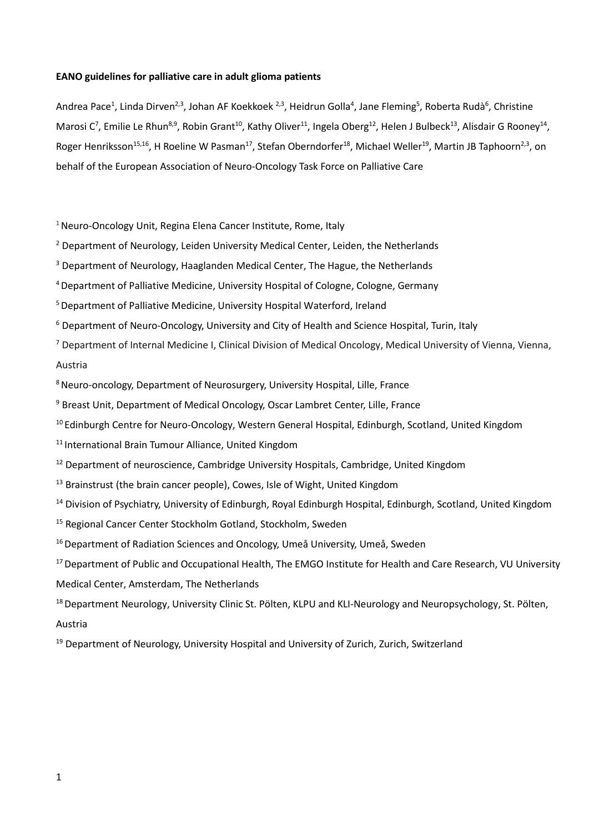# **EANO guidelines for palliative care in adult glioma patients**

Andrea Pace<sup>1</sup>, Linda Dirven<sup>2,3</sup>, Johan AF Koekkoek <sup>2,3</sup>, Heidrun Golla<sup>4</sup>, Jane Fleming<sup>5</sup>, Roberta Rudà<sup>6</sup>, Christine Marosi C<sup>7</sup>, Emilie Le Rhun<sup>8,9</sup>, Robin Grant<sup>10</sup>, Kathy Oliver<sup>11</sup>, Ingela Oberg<sup>12</sup>, Helen J Bulbeck<sup>13</sup>, Alisdair G Rooney<sup>14</sup>, Roger Henriksson<sup>15,16</sup>, H Roeline W Pasman<sup>17</sup>, Stefan Oberndorfer<sup>18</sup>, Michael Weller<sup>19</sup>, Martin JB Taphoorn<sup>2,3</sup>, on behalf of the European Association of Neuro-Oncology Task Force on Palliative Care

<sup>1</sup> Neuro-Oncology Unit, Regina Elena Cancer Institute, Rome, Italy

<sup>2</sup> Department of Neurology, Leiden University Medical Center, Leiden, the Netherlands

<sup>3</sup> Department of Neurology, Haaglanden Medical Center, The Hague, the Netherlands

4 Department of Palliative Medicine, University Hospital of Cologne, Cologne, Germany

<sup>5</sup> Department of Palliative Medicine, University Hospital Waterford, Ireland

<sup>6</sup> Department of Neuro-Oncology, University and City of Health and Science Hospital, Turin, Italy

<sup>7</sup> Department of Internal Medicine I, Clinical Division of Medical Oncology, Medical University of Vienna, Vienna, Austria

<sup>8</sup> Neuro-oncology, Department of Neurosurgery, University Hospital, Lille, France

<sup>9</sup> Breast Unit, Department of Medical Oncology, Oscar Lambret Center, Lille, France

<sup>10</sup> Edinburgh Centre for Neuro-Oncology, Western General Hospital, Edinburgh, Scotland, United Kingdom

<sup>11</sup> International Brain Tumour Alliance, United Kingdom

<sup>12</sup> Department of neuroscience, Cambridge University Hospitals, Cambridge, United Kingdom

<sup>13</sup> Brainstrust (the brain cancer people), Cowes, Isle of Wight, United Kingdom

<sup>14</sup> Division of Psychiatry, University of Edinburgh, Royal Edinburgh Hospital, Edinburgh, Scotland, United Kingdom

<sup>15</sup> Regional Cancer Center Stockholm Gotland, Stockholm, Sweden

<sup>16</sup> Department of Radiation Sciences and Oncology, Umeå University, Umeå, Sweden

<sup>17</sup> Department of Public and Occupational Health, The EMGO Institute for Health and Care Research, VU University Medical Center, Amsterdam, The Netherlands

<sup>18</sup> Department Neurology, University Clinic St. Pölten, KLPU and KLI-Neurology and Neuropsychology, St. Pölten, Austria

 $19$  Department of Neurology, University Hospital and University of Zurich, Zurich, Switzerland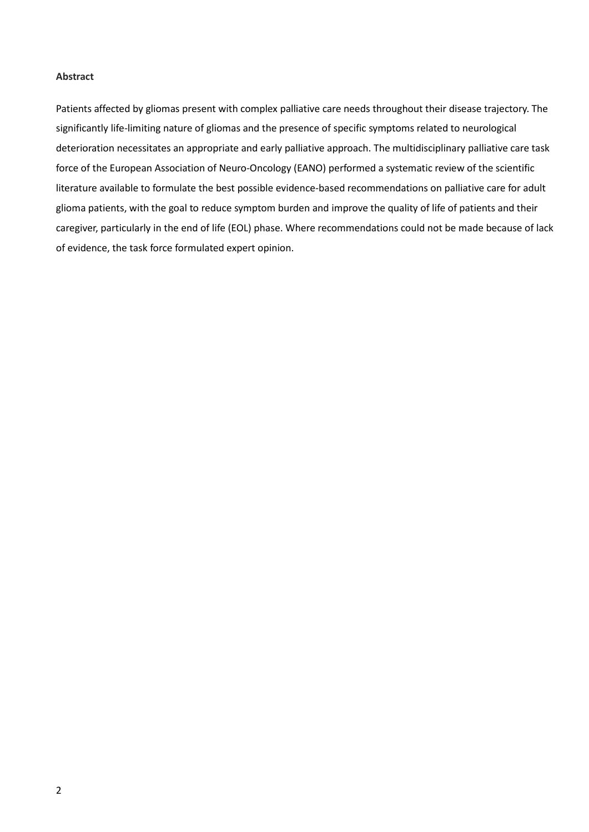# **Abstract**

Patients affected by gliomas present with complex palliative care needs throughout their disease trajectory. The significantly life-limiting nature of gliomas and the presence of specific symptoms related to neurological deterioration necessitates an appropriate and early palliative approach. The multidisciplinary palliative care task force of the European Association of Neuro-Oncology (EANO) performed a systematic review of the scientific literature available to formulate the best possible evidence-based recommendations on palliative care for adult glioma patients, with the goal to reduce symptom burden and improve the quality of life of patients and their caregiver, particularly in the end of life (EOL) phase. Where recommendations could not be made because of lack of evidence, the task force formulated expert opinion.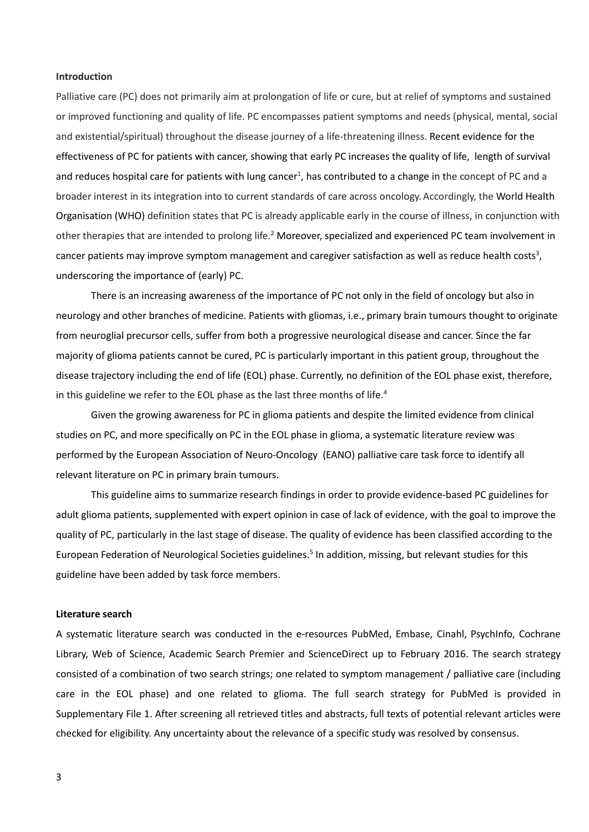## **Introduction**

Palliative care (PC) does not primarily aim at prolongation of life or cure, but at relief of symptoms and sustained or improved functioning and quality of life. PC encompasses patient symptoms and needs (physical, mental, social and existential/spiritual) throughout the disease journey of a life-threatening illness. Recent evidence for the effectiveness of PC for patients with cancer, showing that early PC increases the quality of life, length of survival and reduces hospital care for patients with lung cancer<sup>1</sup>, has contributed to a change in the concept of PC and a broader interest in its integration into to current standards of care across oncology. Accordingly, the World Health Organisation (WHO) definition states that PC is already applicable early in the course of illness, in conjunction with other therapies that are intended to prolong life.2 Moreover, specialized and experienced PC team involvement in cancer patients may improve symptom management and caregiver satisfaction as well as reduce health costs<sup>3</sup>, underscoring the importance of (early) PC.

There is an increasing awareness of the importance of PC not only in the field of oncology but also in neurology and other branches of medicine. Patients with gliomas, i.e., primary brain tumours thought to originate from neuroglial precursor cells, suffer from both a progressive neurological disease and cancer. Since the far majority of glioma patients cannot be cured, PC is particularly important in this patient group, throughout the disease trajectory including the end of life (EOL) phase. Currently, no definition of the EOL phase exist, therefore, in this guideline we refer to the EOL phase as the last three months of life.<sup>4</sup>

Given the growing awareness for PC in glioma patients and despite the limited evidence from clinical studies on PC, and more specifically on PC in the EOL phase in glioma, a systematic literature review was performed by the European Association of Neuro-Oncology (EANO) palliative care task force to identify all relevant literature on PC in primary brain tumours.

This guideline aims to summarize research findings in order to provide evidence-based PC guidelines for adult glioma patients, supplemented with expert opinion in case of lack of evidence, with the goal to improve the quality of PC, particularly in the last stage of disease. The quality of evidence has been classified according to the European Federation of Neurological Societies guidelines.<sup>5</sup> In addition, missing, but relevant studies for this guideline have been added by task force members.

#### **Literature search**

A systematic literature search was conducted in the e-resources PubMed, Embase, Cinahl, PsychInfo, Cochrane Library, Web of Science, Academic Search Premier and ScienceDirect up to February 2016. The search strategy consisted of a combination of two search strings; one related to symptom management / palliative care (including care in the EOL phase) and one related to glioma. The full search strategy for PubMed is provided in Supplementary File 1. After screening all retrieved titles and abstracts, full texts of potential relevant articles were checked for eligibility. Any uncertainty about the relevance of a specific study was resolved by consensus.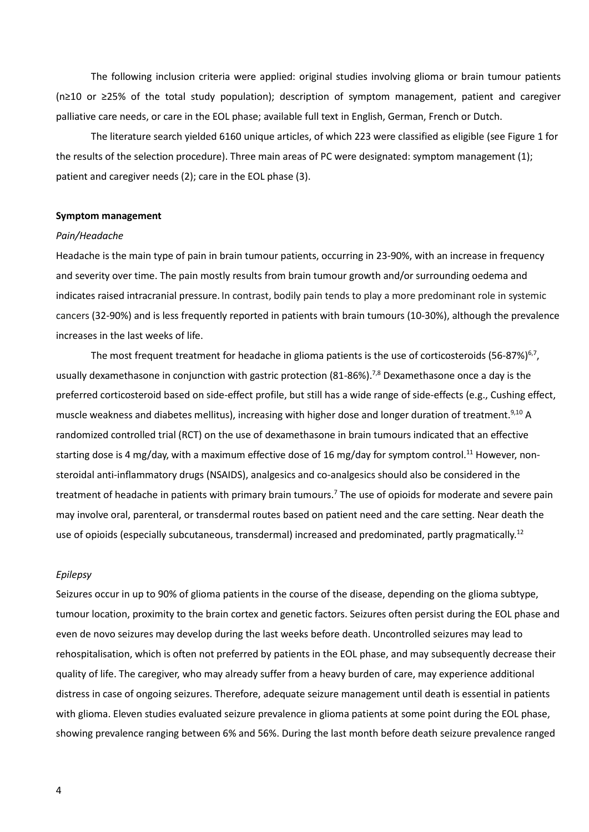The following inclusion criteria were applied: original studies involving glioma or brain tumour patients (n≥10 or ≥25% of the total study population); description of symptom management, patient and caregiver palliative care needs, or care in the EOL phase; available full text in English, German, French or Dutch.

The literature search yielded 6160 unique articles, of which 223 were classified as eligible (see Figure 1 for the results of the selection procedure). Three main areas of PC were designated: symptom management (1); patient and caregiver needs (2); care in the EOL phase (3).

### **Symptom management**

## *Pain/Headache*

Headache is the main type of pain in brain tumour patients, occurring in 23-90%, with an increase in frequency and severity over time. The pain mostly results from brain tumour growth and/or surrounding oedema and indicates raised intracranial pressure. In contrast, bodily pain tends to play a more predominant role in systemic cancers (32-90%) and is less frequently reported in patients with brain tumours (10-30%), although the prevalence increases in the last weeks of life.

The most frequent treatment for headache in glioma patients is the use of corticosteroids (56-87%)<sup>6,7</sup>, usually dexamethasone in conjunction with gastric protection (81-86%).<sup>7,8</sup> Dexamethasone once a day is the preferred corticosteroid based on side-effect profile, but still has a wide range of side-effects (e.g., Cushing effect, muscle weakness and diabetes mellitus), increasing with higher dose and longer duration of treatment.<sup>9,10</sup> A randomized controlled trial (RCT) on the use of dexamethasone in brain tumours indicated that an effective starting dose is 4 mg/day, with a maximum effective dose of 16 mg/day for symptom control.<sup>11</sup> However, nonsteroidal anti-inflammatory drugs (NSAIDS), analgesics and co-analgesics should also be considered in the treatment of headache in patients with primary brain tumours. <sup>7</sup> The use of opioids for moderate and severe pain may involve oral, parenteral, or transdermal routes based on patient need and the care setting. Near death the use of opioids (especially subcutaneous, transdermal) increased and predominated, partly pragmatically.<sup>12</sup>

#### *Epilepsy*

Seizures occur in up to 90% of glioma patients in the course of the disease, depending on the glioma subtype, tumour location, proximity to the brain cortex and genetic factors. Seizures often persist during the EOL phase and even de novo seizures may develop during the last weeks before death. Uncontrolled seizures may lead to rehospitalisation, which is often not preferred by patients in the EOL phase, and may subsequently decrease their quality of life. The caregiver, who may already suffer from a heavy burden of care, may experience additional distress in case of ongoing seizures. Therefore, adequate seizure management until death is essential in patients with glioma. Eleven studies evaluated seizure prevalence in glioma patients at some point during the EOL phase, showing prevalence ranging between 6% and 56%. During the last month before death seizure prevalence ranged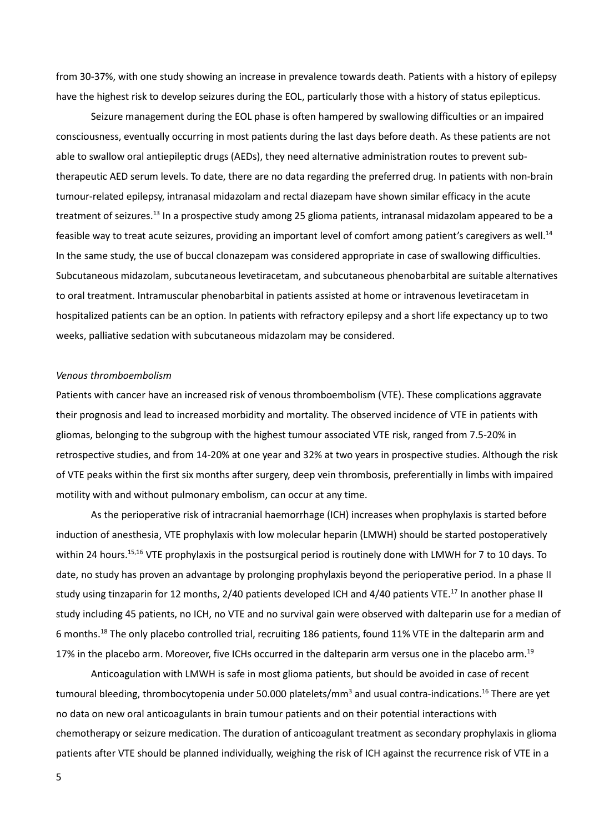from 30-37%, with one study showing an increase in prevalence towards death. Patients with a history of epilepsy have the highest risk to develop seizures during the EOL, particularly those with a history of status epilepticus.

Seizure management during the EOL phase is often hampered by swallowing difficulties or an impaired consciousness, eventually occurring in most patients during the last days before death. As these patients are not able to swallow oral antiepileptic drugs (AEDs), they need alternative administration routes to prevent subtherapeutic AED serum levels. To date, there are no data regarding the preferred drug. In patients with non-brain tumour-related epilepsy, intranasal midazolam and rectal diazepam have shown similar efficacy in the acute treatment of seizures.13 In a prospective study among 25 glioma patients, intranasal midazolam appeared to be a feasible way to treat acute seizures, providing an important level of comfort among patient's caregivers as well.14 In the same study, the use of buccal clonazepam was considered appropriate in case of swallowing difficulties. Subcutaneous midazolam, subcutaneous levetiracetam, and subcutaneous phenobarbital are suitable alternatives to oral treatment. Intramuscular phenobarbital in patients assisted at home or intravenous levetiracetam in hospitalized patients can be an option. In patients with refractory epilepsy and a short life expectancy up to two weeks, palliative sedation with subcutaneous midazolam may be considered.

### *Venous thromboembolism*

Patients with cancer have an increased risk of venous thromboembolism (VTE). These complications aggravate their prognosis and lead to increased morbidity and mortality. The observed incidence of VTE in patients with gliomas, belonging to the subgroup with the highest tumour associated VTE risk, ranged from 7.5-20% in retrospective studies, and from 14-20% at one year and 32% at two years in prospective studies. Although the risk of VTE peaks within the first six months after surgery, deep vein thrombosis, preferentially in limbs with impaired motility with and without pulmonary embolism, can occur at any time.

As the perioperative risk of intracranial haemorrhage (ICH) increases when prophylaxis is started before induction of anesthesia, VTE prophylaxis with low molecular heparin (LMWH) should be started postoperatively within 24 hours.<sup>15,16</sup> VTE prophylaxis in the postsurgical period is routinely done with LMWH for 7 to 10 days. To date, no study has proven an advantage by prolonging prophylaxis beyond the perioperative period. In a phase II study using tinzaparin for 12 months, 2/40 patients developed ICH and 4/40 patients VTE.<sup>17</sup> In another phase II study including 45 patients, no ICH, no VTE and no survival gain were observed with dalteparin use for a median of 6 months.18 The only placebo controlled trial, recruiting 186 patients, found 11% VTE in the dalteparin arm and 17% in the placebo arm. Moreover, five ICHs occurred in the dalteparin arm versus one in the placebo arm.<sup>19</sup>

Anticoagulation with LMWH is safe in most glioma patients, but should be avoided in case of recent tumoural bleeding, thrombocytopenia under 50.000 platelets/mm<sup>3</sup> and usual contra-indications.<sup>16</sup> There are yet no data on new oral anticoagulants in brain tumour patients and on their potential interactions with chemotherapy or seizure medication. The duration of anticoagulant treatment as secondary prophylaxis in glioma patients after VTE should be planned individually, weighing the risk of ICH against the recurrence risk of VTE in a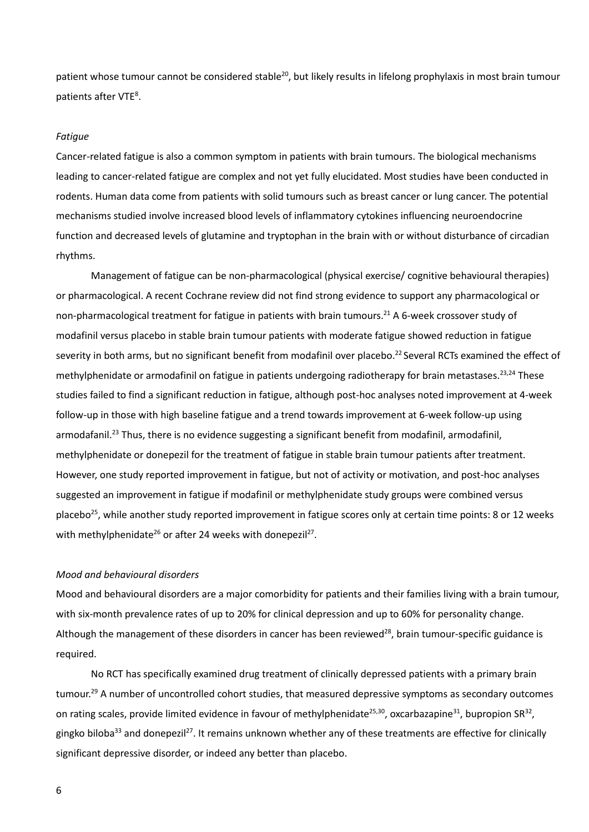patient whose tumour cannot be considered stable<sup>20</sup>, but likely results in lifelong prophylaxis in most brain tumour patients after VTE<sup>8</sup>.

## *Fatigue*

Cancer-related fatigue is also a common symptom in patients with brain tumours. The biological mechanisms leading to cancer-related fatigue are complex and not yet fully elucidated. Most studies have been conducted in rodents. Human data come from patients with solid tumours such as breast cancer or lung cancer. The potential mechanisms studied involve increased blood levels of inflammatory cytokines influencing neuroendocrine function and decreased levels of glutamine and tryptophan in the brain with or without disturbance of circadian rhythms.

Management of fatigue can be non-pharmacological (physical exercise/ cognitive behavioural therapies) or pharmacological. A recent Cochrane review did not find strong evidence to support any pharmacological or non-pharmacological treatment for fatigue in patients with brain tumours.21 A 6-week crossover study of modafinil versus placebo in stable brain tumour patients with moderate fatigue showed reduction in fatigue severity in both arms, but no significant benefit from modafinil over placebo.<sup>22</sup> Several RCTs examined the effect of methylphenidate or armodafinil on fatigue in patients undergoing radiotherapy for brain metastases.<sup>23,24</sup> These studies failed to find a significant reduction in fatigue, although post-hoc analyses noted improvement at 4-week follow-up in those with high baseline fatigue and a trend towards improvement at 6-week follow-up using armodafanil.<sup>23</sup> Thus, there is no evidence suggesting a significant benefit from modafinil, armodafinil, methylphenidate or donepezil for the treatment of fatigue in stable brain tumour patients after treatment. However, one study reported improvement in fatigue, but not of activity or motivation, and post-hoc analyses suggested an improvement in fatigue if modafinil or methylphenidate study groups were combined versus placebo<sup>25</sup>, while another study reported improvement in fatigue scores only at certain time points: 8 or 12 weeks with methylphenidate<sup>26</sup> or after 24 weeks with donepezil<sup>27</sup>.

## *Mood and behavioural disorders*

Mood and behavioural disorders are a major comorbidity for patients and their families living with a brain tumour, with six-month prevalence rates of up to 20% for clinical depression and up to 60% for personality change. Although the management of these disorders in cancer has been reviewed<sup>28</sup>, brain tumour-specific guidance is required.

No RCT has specifically examined drug treatment of clinically depressed patients with a primary brain tumour.<sup>29</sup> A number of uncontrolled cohort studies, that measured depressive symptoms as secondary outcomes on rating scales, provide limited evidence in favour of methylphenidate<sup>25,30</sup>, oxcarbazapine<sup>31</sup>, bupropion SR<sup>32</sup>, gingko biloba<sup>33</sup> and donepezil<sup>27</sup>. It remains unknown whether any of these treatments are effective for clinically significant depressive disorder, or indeed any better than placebo.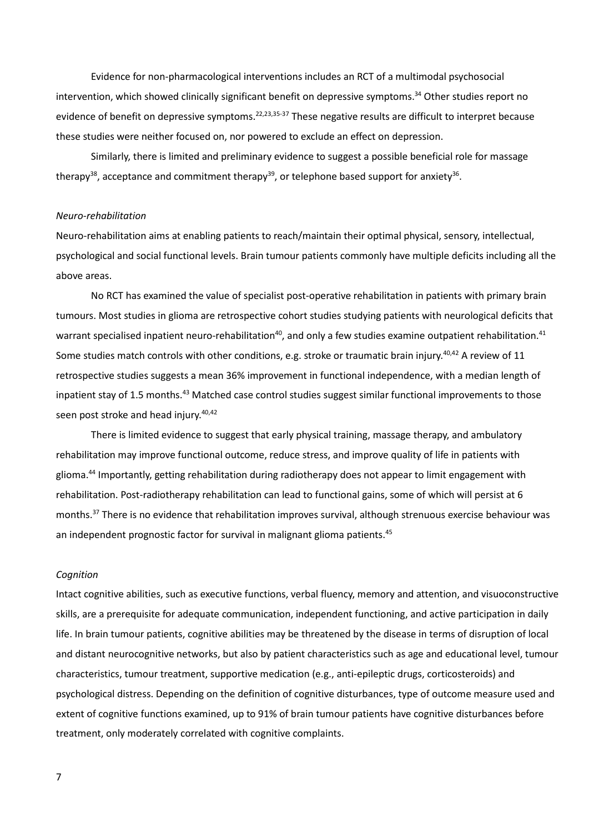Evidence for non-pharmacological interventions includes an RCT of a multimodal psychosocial intervention, which showed clinically significant benefit on depressive symptoms.<sup>34</sup> Other studies report no evidence of benefit on depressive symptoms.<sup>22,23,35-37</sup> These negative results are difficult to interpret because these studies were neither focused on, nor powered to exclude an effect on depression.

Similarly, there is limited and preliminary evidence to suggest a possible beneficial role for massage therapy<sup>38</sup>, acceptance and commitment therapy<sup>39</sup>, or telephone based support for anxiety<sup>36</sup>.

### *Neuro-rehabilitation*

Neuro-rehabilitation aims at enabling patients to reach/maintain their optimal physical, sensory, intellectual, psychological and social functional levels. Brain tumour patients commonly have multiple deficits including all the above areas.

No RCT has examined the value of specialist post-operative rehabilitation in patients with primary brain tumours. Most studies in glioma are retrospective cohort studies studying patients with neurological deficits that warrant specialised inpatient neuro-rehabilitation<sup>40</sup>, and only a few studies examine outpatient rehabilitation.<sup>41</sup> Some studies match controls with other conditions, e.g. stroke or traumatic brain injury.<sup>40,42</sup> A review of 11 retrospective studies suggests a mean 36% improvement in functional independence, with a median length of inpatient stay of 1.5 months.<sup>43</sup> Matched case control studies suggest similar functional improvements to those seen post stroke and head injury.<sup>40,42</sup>

There is limited evidence to suggest that early physical training, massage therapy, and ambulatory rehabilitation may improve functional outcome, reduce stress, and improve quality of life in patients with glioma.44 Importantly, getting rehabilitation during radiotherapy does not appear to limit engagement with rehabilitation. Post-radiotherapy rehabilitation can lead to functional gains, some of which will persist at 6 months.37 There is no evidence that rehabilitation improves survival, although strenuous exercise behaviour was an independent prognostic factor for survival in malignant glioma patients.<sup>45</sup>

#### *Cognition*

Intact cognitive abilities, such as executive functions, verbal fluency, memory and attention, and visuoconstructive skills, are a prerequisite for adequate communication, independent functioning, and active participation in daily life. In brain tumour patients, cognitive abilities may be threatened by the disease in terms of disruption of local and distant neurocognitive networks, but also by patient characteristics such as age and educational level, tumour characteristics, tumour treatment, supportive medication (e.g., anti-epileptic drugs, corticosteroids) and psychological distress. Depending on the definition of cognitive disturbances, type of outcome measure used and extent of cognitive functions examined, up to 91% of brain tumour patients have cognitive disturbances before treatment, only moderately correlated with cognitive complaints.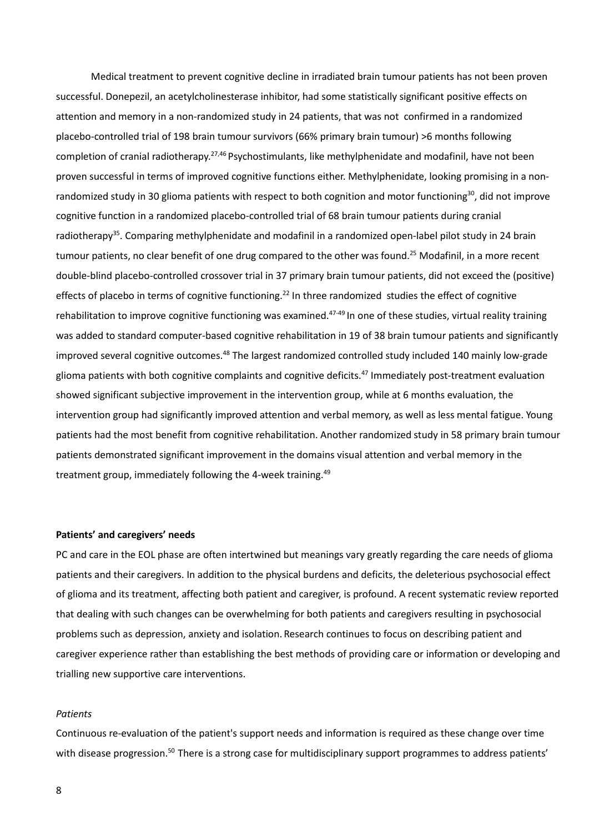Medical treatment to prevent cognitive decline in irradiated brain tumour patients has not been proven successful. Donepezil, an acetylcholinesterase inhibitor, had some statistically significant positive effects on attention and memory in a non-randomized study in 24 patients, that was not confirmed in a randomized placebo-controlled trial of 198 brain tumour survivors (66% primary brain tumour) >6 months following completion of cranial radiotherapy.<sup>27,46</sup> Psychostimulants, like methylphenidate and modafinil, have not been proven successful in terms of improved cognitive functions either. Methylphenidate, looking promising in a nonrandomized study in 30 glioma patients with respect to both cognition and motor functioning<sup>30</sup>, did not improve cognitive function in a randomized placebo-controlled trial of 68 brain tumour patients during cranial radiotherapy<sup>35</sup>. Comparing methylphenidate and modafinil in a randomized open-label pilot study in 24 brain tumour patients, no clear benefit of one drug compared to the other was found.<sup>25</sup> Modafinil, in a more recent double-blind placebo-controlled crossover trial in 37 primary brain tumour patients, did not exceed the (positive) effects of placebo in terms of cognitive functioning.<sup>22</sup> In three randomized studies the effect of cognitive rehabilitation to improve cognitive functioning was examined. $47-49$  In one of these studies, virtual reality training was added to standard computer-based cognitive rehabilitation in 19 of 38 brain tumour patients and significantly improved several cognitive outcomes.<sup>48</sup> The largest randomized controlled study included 140 mainly low-grade glioma patients with both cognitive complaints and cognitive deficits.<sup>47</sup> Immediately post-treatment evaluation showed significant subjective improvement in the intervention group, while at 6 months evaluation, the intervention group had significantly improved attention and verbal memory, as well as less mental fatigue. Young patients had the most benefit from cognitive rehabilitation. Another randomized study in 58 primary brain tumour patients demonstrated significant improvement in the domains visual attention and verbal memory in the treatment group, immediately following the 4-week training.<sup>49</sup>

# **Patients' and caregivers' needs**

PC and care in the EOL phase are often intertwined but meanings vary greatly regarding the care needs of glioma patients and their caregivers. In addition to the physical burdens and deficits, the deleterious psychosocial effect of glioma and its treatment, affecting both patient and caregiver, is profound. A recent systematic review reported that dealing with such changes can be overwhelming for both patients and caregivers resulting in psychosocial problems such as depression, anxiety and isolation. Research continues to focus on describing patient and caregiver experience rather than establishing the best methods of providing care or information or developing and trialling new supportive care interventions.

#### *Patients*

Continuous re-evaluation of the patient's support needs and information is required as these change over time with disease progression.<sup>50</sup> There is a strong case for multidisciplinary support programmes to address patients'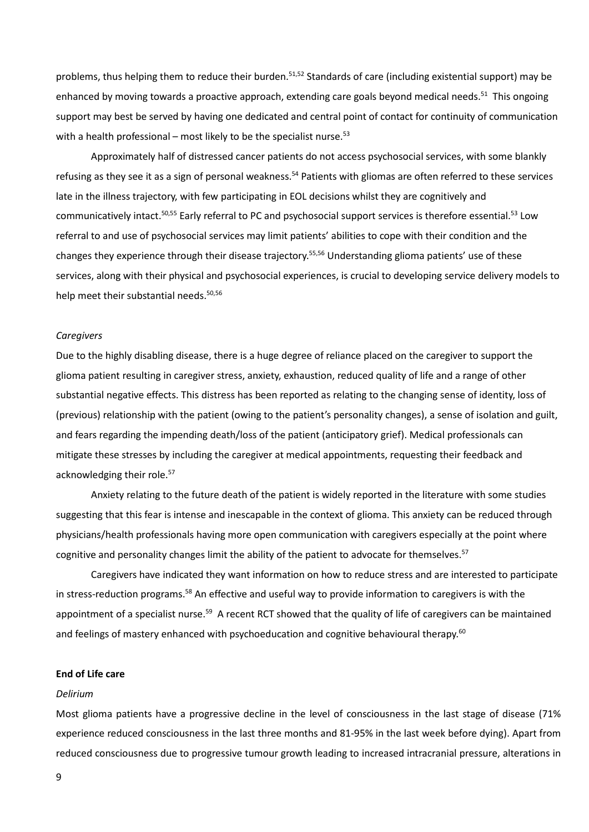problems, thus helping them to reduce their burden.<sup>51,52</sup> Standards of care (including existential support) may be enhanced by moving towards a proactive approach, extending care goals beyond medical needs.<sup>51</sup> This ongoing support may best be served by having one dedicated and central point of contact for continuity of communication with a health professional – most likely to be the specialist nurse.<sup>53</sup>

Approximately half of distressed cancer patients do not access psychosocial services, with some blankly refusing as they see it as a sign of personal weakness.<sup>54</sup> Patients with gliomas are often referred to these services late in the illness trajectory, with few participating in EOL decisions whilst they are cognitively and communicatively intact.<sup>50,55</sup> Early referral to PC and psychosocial support services is therefore essential.<sup>53</sup> Low referral to and use of psychosocial services may limit patients' abilities to cope with their condition and the changes they experience through their disease trajectory.55,56 Understanding glioma patients' use of these services, along with their physical and psychosocial experiences, is crucial to developing service delivery models to help meet their substantial needs.<sup>50,56</sup>

#### *Caregivers*

Due to the highly disabling disease, there is a huge degree of reliance placed on the caregiver to support the glioma patient resulting in caregiver stress, anxiety, exhaustion, reduced quality of life and a range of other substantial negative effects. This distress has been reported as relating to the changing sense of identity, loss of (previous) relationship with the patient (owing to the patient's personality changes), a sense of isolation and guilt, and fears regarding the impending death/loss of the patient (anticipatory grief). Medical professionals can mitigate these stresses by including the caregiver at medical appointments, requesting their feedback and acknowledging their role.<sup>57</sup>

Anxiety relating to the future death of the patient is widely reported in the literature with some studies suggesting that this fear is intense and inescapable in the context of glioma. This anxiety can be reduced through physicians/health professionals having more open communication with caregivers especially at the point where cognitive and personality changes limit the ability of the patient to advocate for themselves.<sup>57</sup>

Caregivers have indicated they want information on how to reduce stress and are interested to participate in stress-reduction programs.<sup>58</sup> An effective and useful way to provide information to caregivers is with the appointment of a specialist nurse.<sup>59</sup> A recent RCT showed that the quality of life of caregivers can be maintained and feelings of mastery enhanced with psychoeducation and cognitive behavioural therapy.<sup>60</sup>

#### **End of Life care**

# *Delirium*

Most glioma patients have a progressive decline in the level of consciousness in the last stage of disease (71% experience reduced consciousness in the last three months and 81-95% in the last week before dying). Apart from reduced consciousness due to progressive tumour growth leading to increased intracranial pressure, alterations in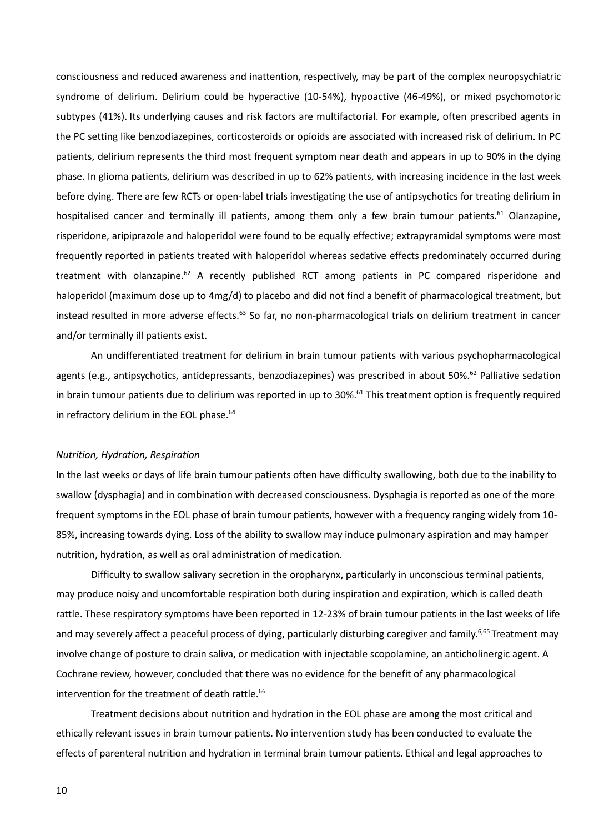consciousness and reduced awareness and inattention, respectively, may be part of the complex neuropsychiatric syndrome of delirium. Delirium could be hyperactive (10-54%), hypoactive (46-49%), or mixed psychomotoric subtypes (41%). Its underlying causes and risk factors are multifactorial. For example, often prescribed agents in the PC setting like benzodiazepines, corticosteroids or opioids are associated with increased risk of delirium. In PC patients, delirium represents the third most frequent symptom near death and appears in up to 90% in the dying phase. In glioma patients, delirium was described in up to 62% patients, with increasing incidence in the last week before dying. There are few RCTs or open-label trials investigating the use of antipsychotics for treating delirium in hospitalised cancer and terminally ill patients, among them only a few brain tumour patients.<sup>61</sup> Olanzapine. risperidone, aripiprazole and haloperidol were found to be equally effective; extrapyramidal symptoms were most frequently reported in patients treated with haloperidol whereas sedative effects predominately occurred during treatment with olanzapine.<sup>62</sup> A recently published RCT among patients in PC compared risperidone and haloperidol (maximum dose up to 4mg/d) to placebo and did not find a benefit of pharmacological treatment, but instead resulted in more adverse effects.<sup>63</sup> So far, no non-pharmacological trials on delirium treatment in cancer and/or terminally ill patients exist.

An undifferentiated treatment for delirium in brain tumour patients with various psychopharmacological agents (e.g., antipsychotics, antidepressants, benzodiazepines) was prescribed in about 50%.<sup>62</sup> Palliative sedation in brain tumour patients due to delirium was reported in up to  $30\%$ .<sup>61</sup> This treatment option is frequently required in refractory delirium in the EOL phase.<sup>64</sup>

# *Nutrition, Hydration, Respiration*

In the last weeks or days of life brain tumour patients often have difficulty swallowing, both due to the inability to swallow (dysphagia) and in combination with decreased consciousness. Dysphagia is reported as one of the more frequent symptoms in the EOL phase of brain tumour patients, however with a frequency ranging widely from 10- 85%, increasing towards dying. Loss of the ability to swallow may induce pulmonary aspiration and may hamper nutrition, hydration, as well as oral administration of medication.

Difficulty to swallow salivary secretion in the oropharynx, particularly in unconscious terminal patients, may produce noisy and uncomfortable respiration both during inspiration and expiration, which is called death rattle. These respiratory symptoms have been reported in 12-23% of brain tumour patients in the last weeks of life and may severely affect a peaceful process of dying, particularly disturbing caregiver and family.<sup>6,65</sup> Treatment may involve change of posture to drain saliva, or medication with injectable scopolamine, an anticholinergic agent. A Cochrane review, however, concluded that there was no evidence for the benefit of any pharmacological intervention for the treatment of death rattle.<sup>66</sup>

Treatment decisions about nutrition and hydration in the EOL phase are among the most critical and ethically relevant issues in brain tumour patients. No intervention study has been conducted to evaluate the effects of parenteral nutrition and hydration in terminal brain tumour patients. Ethical and legal approaches to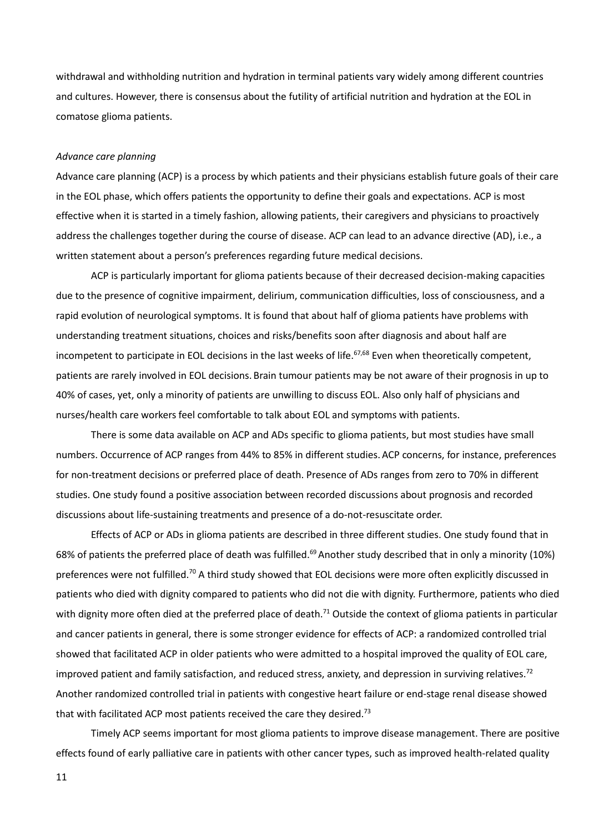withdrawal and withholding nutrition and hydration in terminal patients vary widely among different countries and cultures. However, there is consensus about the futility of artificial nutrition and hydration at the EOL in comatose glioma patients.

## *Advance care planning*

Advance care planning (ACP) is a process by which patients and their physicians establish future goals of their care in the EOL phase, which offers patients the opportunity to define their goals and expectations. ACP is most effective when it is started in a timely fashion, allowing patients, their caregivers and physicians to proactively address the challenges together during the course of disease. ACP can lead to an advance directive (AD), i.e., a written statement about a person's preferences regarding future medical decisions.

ACP is particularly important for glioma patients because of their decreased decision-making capacities due to the presence of cognitive impairment, delirium, communication difficulties, loss of consciousness, and a rapid evolution of neurological symptoms. It is found that about half of glioma patients have problems with understanding treatment situations, choices and risks/benefits soon after diagnosis and about half are incompetent to participate in EOL decisions in the last weeks of life.<sup>67,68</sup> Even when theoretically competent, patients are rarely involved in EOL decisions. Brain tumour patients may be not aware of their prognosis in up to 40% of cases, yet, only a minority of patients are unwilling to discuss EOL. Also only half of physicians and nurses/health care workers feel comfortable to talk about EOL and symptoms with patients.

There is some data available on ACP and ADs specific to glioma patients, but most studies have small numbers. Occurrence of ACP ranges from 44% to 85% in different studies.ACP concerns, for instance, preferences for non-treatment decisions or preferred place of death. Presence of ADs ranges from zero to 70% in different studies. One study found a positive association between recorded discussions about prognosis and recorded discussions about life-sustaining treatments and presence of a do-not-resuscitate order.

Effects of ACP or ADs in glioma patients are described in three different studies. One study found that in 68% of patients the preferred place of death was fulfilled.<sup>69</sup> Another study described that in only a minority (10%) preferences were not fulfilled.<sup>70</sup> A third study showed that EOL decisions were more often explicitly discussed in patients who died with dignity compared to patients who did not die with dignity. Furthermore, patients who died with dignity more often died at the preferred place of death.<sup>71</sup> Outside the context of glioma patients in particular and cancer patients in general, there is some stronger evidence for effects of ACP: a randomized controlled trial showed that facilitated ACP in older patients who were admitted to a hospital improved the quality of EOL care, improved patient and family satisfaction, and reduced stress, anxiety, and depression in surviving relatives.<sup>72</sup> Another randomized controlled trial in patients with congestive heart failure or end-stage renal disease showed that with facilitated ACP most patients received the care they desired.<sup>73</sup>

Timely ACP seems important for most glioma patients to improve disease management. There are positive effects found of early palliative care in patients with other cancer types, such as improved health-related quality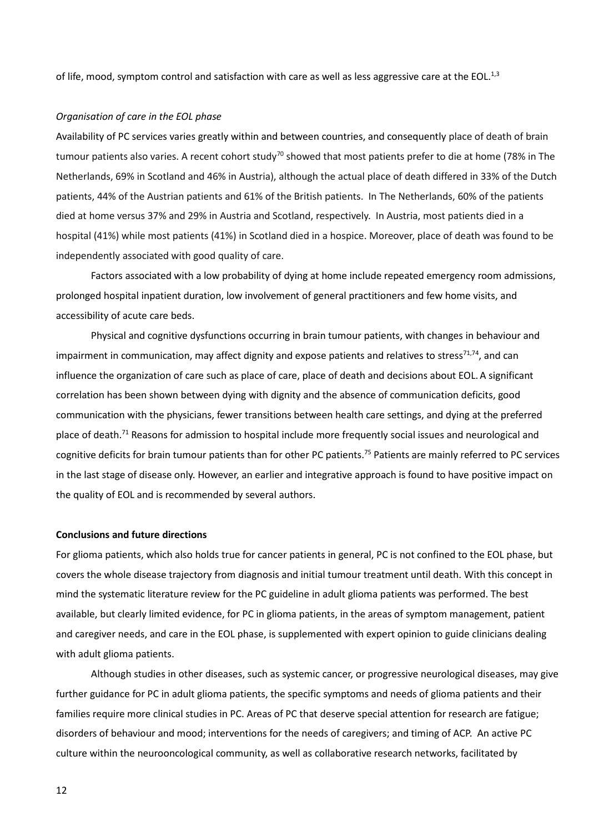of life, mood, symptom control and satisfaction with care as well as less aggressive care at the EOL.<sup>1,3</sup>

# *Organisation of care in the EOL phase*

Availability of PC services varies greatly within and between countries, and consequently place of death of brain tumour patients also varies. A recent cohort study<sup>70</sup> showed that most patients prefer to die at home (78% in The Netherlands, 69% in Scotland and 46% in Austria), although the actual place of death differed in 33% of the Dutch patients, 44% of the Austrian patients and 61% of the British patients. In The Netherlands, 60% of the patients died at home versus 37% and 29% in Austria and Scotland, respectively. In Austria, most patients died in a hospital (41%) while most patients (41%) in Scotland died in a hospice. Moreover, place of death was found to be independently associated with good quality of care.

Factors associated with a low probability of dying at home include repeated emergency room admissions, prolonged hospital inpatient duration, low involvement of general practitioners and few home visits, and accessibility of acute care beds.

Physical and cognitive dysfunctions occurring in brain tumour patients, with changes in behaviour and impairment in communication, may affect dignity and expose patients and relatives to stress<sup>71,74</sup>, and can influence the organization of care such as place of care, place of death and decisions about EOL.A significant correlation has been shown between dying with dignity and the absence of communication deficits, good communication with the physicians, fewer transitions between health care settings, and dying at the preferred place of death.<sup>71</sup> Reasons for admission to hospital include more frequently social issues and neurological and cognitive deficits for brain tumour patients than for other PC patients.<sup>75</sup> Patients are mainly referred to PC services in the last stage of disease only. However, an earlier and integrative approach is found to have positive impact on the quality of EOL and is recommended by several authors.

# **Conclusions and future directions**

For glioma patients, which also holds true for cancer patients in general, PC is not confined to the EOL phase, but covers the whole disease trajectory from diagnosis and initial tumour treatment until death. With this concept in mind the systematic literature review for the PC guideline in adult glioma patients was performed. The best available, but clearly limited evidence, for PC in glioma patients, in the areas of symptom management, patient and caregiver needs, and care in the EOL phase, is supplemented with expert opinion to guide clinicians dealing with adult glioma patients.

Although studies in other diseases, such as systemic cancer, or progressive neurological diseases, may give further guidance for PC in adult glioma patients, the specific symptoms and needs of glioma patients and their families require more clinical studies in PC. Areas of PC that deserve special attention for research are fatigue; disorders of behaviour and mood; interventions for the needs of caregivers; and timing of ACP. An active PC culture within the neurooncological community, as well as collaborative research networks, facilitated by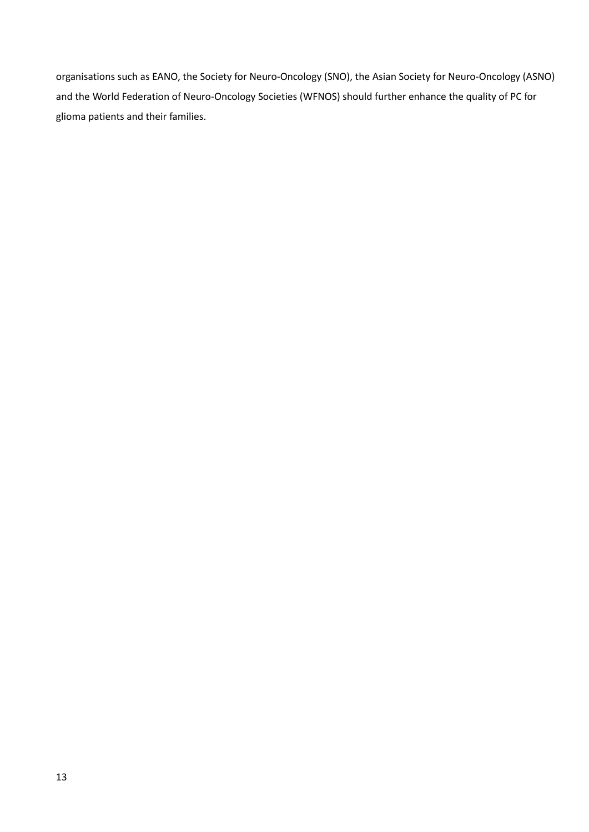organisations such as EANO, the Society for Neuro-Oncology (SNO), the Asian Society for Neuro-Oncology (ASNO) and the World Federation of Neuro-Oncology Societies (WFNOS) should further enhance the quality of PC for glioma patients and their families.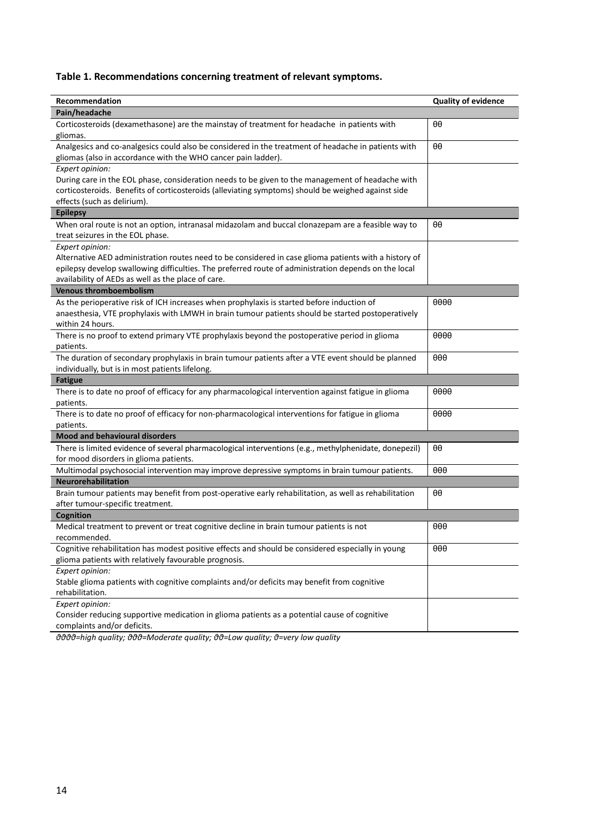# **Table 1. Recommendations concerning treatment of relevant symptoms.**

| Recommendation                                                                                                                                                       | <b>Quality of evidence</b> |
|----------------------------------------------------------------------------------------------------------------------------------------------------------------------|----------------------------|
| Pain/headache                                                                                                                                                        |                            |
| Corticosteroids (dexamethasone) are the mainstay of treatment for headache in patients with<br>gliomas.                                                              | θθ                         |
| Analgesics and co-analgesics could also be considered in the treatment of headache in patients with<br>gliomas (also in accordance with the WHO cancer pain ladder). | θθ                         |
| Expert opinion:                                                                                                                                                      |                            |
| During care in the EOL phase, consideration needs to be given to the management of headache with                                                                     |                            |
| corticosteroids. Benefits of corticosteroids (alleviating symptoms) should be weighed against side                                                                   |                            |
| effects (such as delirium).                                                                                                                                          |                            |
| <b>Epilepsy</b>                                                                                                                                                      |                            |
| When oral route is not an option, intranasal midazolam and buccal clonazepam are a feasible way to                                                                   | θθ                         |
| treat seizures in the EOL phase.                                                                                                                                     |                            |
| Expert opinion:                                                                                                                                                      |                            |
| Alternative AED administration routes need to be considered in case glioma patients with a history of                                                                |                            |
| epilepsy develop swallowing difficulties. The preferred route of administration depends on the local                                                                 |                            |
| availability of AEDs as well as the place of care.                                                                                                                   |                            |
| <b>Venous thromboembolism</b>                                                                                                                                        |                            |
| As the perioperative risk of ICH increases when prophylaxis is started before induction of                                                                           | 0000                       |
| anaesthesia, VTE prophylaxis with LMWH in brain tumour patients should be started postoperatively                                                                    |                            |
| within 24 hours.                                                                                                                                                     |                            |
| There is no proof to extend primary VTE prophylaxis beyond the postoperative period in glioma                                                                        | 0000                       |
| patients.                                                                                                                                                            |                            |
| The duration of secondary prophylaxis in brain tumour patients after a VTE event should be planned                                                                   | $\theta\theta\theta$       |
| individually, but is in most patients lifelong.                                                                                                                      |                            |
| <b>Fatigue</b>                                                                                                                                                       |                            |
| There is to date no proof of efficacy for any pharmacological intervention against fatigue in glioma<br>patients.                                                    | 0000                       |
| There is to date no proof of efficacy for non-pharmacological interventions for fatigue in glioma<br>patients.                                                       | $\theta\theta\theta\theta$ |
| Mood and behavioural disorders                                                                                                                                       |                            |
| There is limited evidence of several pharmacological interventions (e.g., methylphenidate, donepezil)                                                                | θθ                         |
| for mood disorders in glioma patients.                                                                                                                               |                            |
| Multimodal psychosocial intervention may improve depressive symptoms in brain tumour patients.                                                                       | $\theta\theta\theta$       |
| <b>Neurorehabilitation</b>                                                                                                                                           |                            |
| Brain tumour patients may benefit from post-operative early rehabilitation, as well as rehabilitation                                                                | θθ                         |
| after tumour-specific treatment.                                                                                                                                     |                            |
| Cognition                                                                                                                                                            |                            |
| Medical treatment to prevent or treat cognitive decline in brain tumour patients is not                                                                              | $\theta\theta\theta$       |
| recommended.                                                                                                                                                         |                            |
| Cognitive rehabilitation has modest positive effects and should be considered especially in young                                                                    | $\theta\theta\theta$       |
| glioma patients with relatively favourable prognosis.                                                                                                                |                            |
| Expert opinion:                                                                                                                                                      |                            |
| Stable glioma patients with cognitive complaints and/or deficits may benefit from cognitive                                                                          |                            |
| rehabilitation.                                                                                                                                                      |                            |
| Expert opinion:                                                                                                                                                      |                            |
| Consider reducing supportive medication in glioma patients as a potential cause of cognitive                                                                         |                            |
| complaints and/or deficits.                                                                                                                                          |                            |

*θθθθ=high quality; θθθ=Moderate quality; θθ=Low quality; θ=very low quality*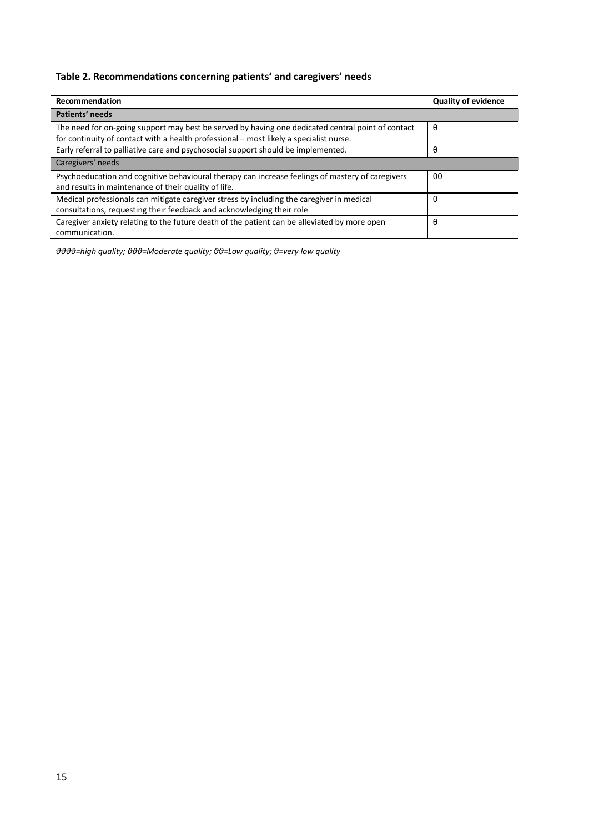# **Table 2. Recommendations concerning patients' and caregivers' needs**

| <b>Recommendation</b>                                                                                                                                              | <b>Quality of evidence</b> |
|--------------------------------------------------------------------------------------------------------------------------------------------------------------------|----------------------------|
| Patients' needs                                                                                                                                                    |                            |
| The need for on-going support may best be served by having one dedicated central point of contact                                                                  | θ                          |
| for continuity of contact with a health professional - most likely a specialist nurse.                                                                             |                            |
| Early referral to palliative care and psychosocial support should be implemented.                                                                                  | θ                          |
| Caregivers' needs                                                                                                                                                  |                            |
| Psychoeducation and cognitive behavioural therapy can increase feelings of mastery of caregivers<br>and results in maintenance of their quality of life.           | $\theta\theta$             |
| Medical professionals can mitigate caregiver stress by including the caregiver in medical<br>consultations, requesting their feedback and acknowledging their role | $\theta$                   |
| Caregiver anxiety relating to the future death of the patient can be alleviated by more open<br>communication.                                                     | θ                          |

*θθθθ=high quality; θθθ=Moderate quality; θθ=Low quality; θ=very low quality*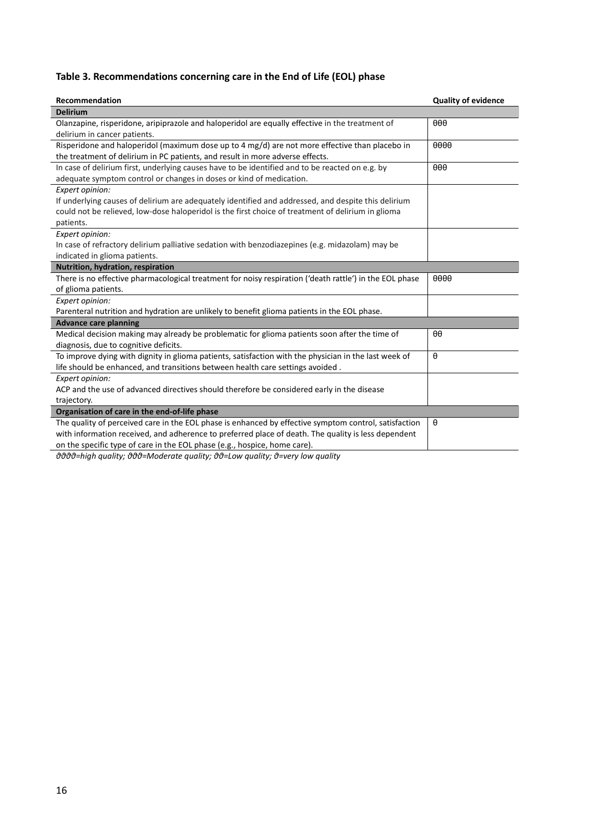# **Table 3. Recommendations concerning care in the End of Life (EOL) phase**

| Recommendation                                                                                          | <b>Quality of evidence</b> |
|---------------------------------------------------------------------------------------------------------|----------------------------|
| <b>Delirium</b>                                                                                         |                            |
| Olanzapine, risperidone, aripiprazole and haloperidol are equally effective in the treatment of         | $\theta$ $\theta$          |
| delirium in cancer patients.                                                                            |                            |
| Risperidone and haloperidol (maximum dose up to 4 mg/d) are not more effective than placebo in          | 0000                       |
| the treatment of delirium in PC patients, and result in more adverse effects.                           |                            |
| In case of delirium first, underlying causes have to be identified and to be reacted on e.g. by         | $\theta\theta\theta$       |
| adequate symptom control or changes in doses or kind of medication.                                     |                            |
| Expert opinion:                                                                                         |                            |
| If underlying causes of delirium are adequately identified and addressed, and despite this delirium     |                            |
| could not be relieved, low-dose haloperidol is the first choice of treatment of delirium in glioma      |                            |
| patients.                                                                                               |                            |
| Expert opinion:                                                                                         |                            |
| In case of refractory delirium palliative sedation with benzodiazepines (e.g. midazolam) may be         |                            |
| indicated in glioma patients.                                                                           |                            |
| Nutrition, hydration, respiration                                                                       |                            |
| There is no effective pharmacological treatment for noisy respiration ('death rattle') in the EOL phase | 0000                       |
| of glioma patients.                                                                                     |                            |
| Expert opinion:                                                                                         |                            |
| Parenteral nutrition and hydration are unlikely to benefit glioma patients in the EOL phase.            |                            |
| <b>Advance care planning</b>                                                                            |                            |
| Medical decision making may already be problematic for glioma patients soon after the time of           | $\theta\theta$             |
| diagnosis, due to cognitive deficits.                                                                   |                            |
| To improve dying with dignity in glioma patients, satisfaction with the physician in the last week of   | $\theta$                   |
| life should be enhanced, and transitions between health care settings avoided.                          |                            |
| Expert opinion:                                                                                         |                            |
| ACP and the use of advanced directives should therefore be considered early in the disease              |                            |
| trajectory.                                                                                             |                            |
| Organisation of care in the end-of-life phase                                                           |                            |
| The quality of perceived care in the EOL phase is enhanced by effective symptom control, satisfaction   | $\theta$                   |
| with information received, and adherence to preferred place of death. The quality is less dependent     |                            |
| on the specific type of care in the EOL phase (e.g., hospice, home care).                               |                            |

*θθθθ=high quality; θθθ=Moderate quality; θθ=Low quality; θ=very low quality*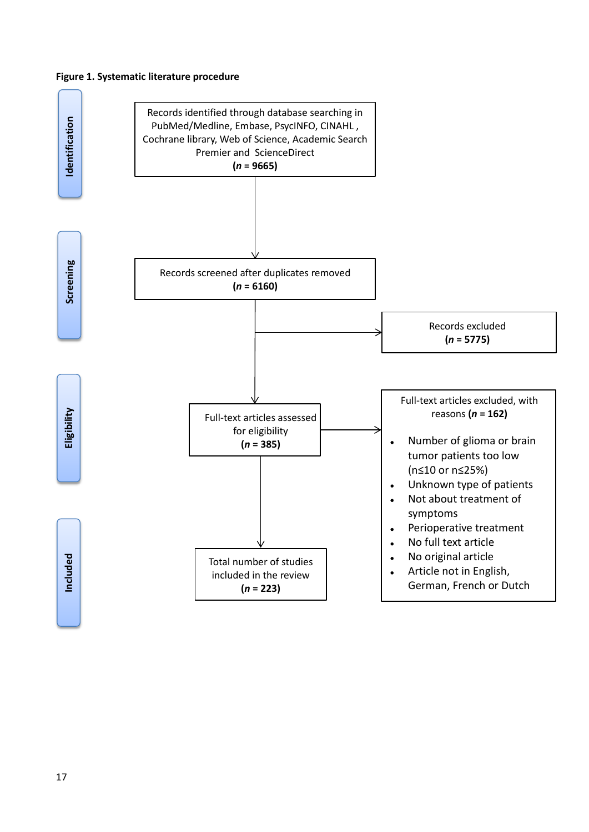# **Figure 1. Systematic literature procedure**

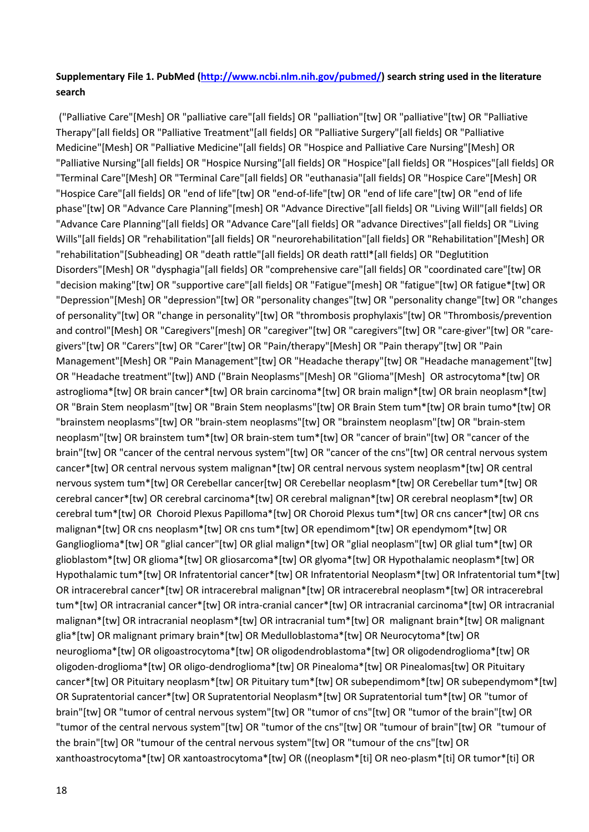# **Supplementary File 1. PubMed [\(http://www.ncbi.nlm.nih.gov/pubmed/\)](http://www.ncbi.nlm.nih.gov/pubmed/) search string used in the literature search**

("Palliative Care"[Mesh] OR "palliative care"[all fields] OR "palliation"[tw] OR "palliative"[tw] OR "Palliative Therapy"[all fields] OR "Palliative Treatment"[all fields] OR "Palliative Surgery"[all fields] OR "Palliative Medicine"[Mesh] OR "Palliative Medicine"[all fields] OR "Hospice and Palliative Care Nursing"[Mesh] OR "Palliative Nursing"[all fields] OR "Hospice Nursing"[all fields] OR "Hospice"[all fields] OR "Hospices"[all fields] OR "Terminal Care"[Mesh] OR "Terminal Care"[all fields] OR "euthanasia"[all fields] OR "Hospice Care"[Mesh] OR "Hospice Care"[all fields] OR "end of life"[tw] OR "end-of-life"[tw] OR "end of life care"[tw] OR "end of life phase"[tw] OR "Advance Care Planning"[mesh] OR "Advance Directive"[all fields] OR "Living Will"[all fields] OR "Advance Care Planning"[all fields] OR "Advance Care"[all fields] OR "advance Directives"[all fields] OR "Living Wills"[all fields] OR "rehabilitation"[all fields] OR "neurorehabilitation"[all fields] OR "Rehabilitation"[Mesh] OR "rehabilitation"[Subheading] OR "death rattle"[all fields] OR death rattl\*[all fields] OR "Deglutition Disorders"[Mesh] OR "dysphagia"[all fields] OR "comprehensive care"[all fields] OR "coordinated care"[tw] OR "decision making"[tw] OR "supportive care"[all fields] OR "Fatigue"[mesh] OR "fatigue"[tw] OR fatigue\*[tw] OR "Depression"[Mesh] OR "depression"[tw] OR "personality changes"[tw] OR "personality change"[tw] OR "changes of personality"[tw] OR "change in personality"[tw] OR "thrombosis prophylaxis"[tw] OR "Thrombosis/prevention and control"[Mesh] OR "Caregivers"[mesh] OR "caregiver"[tw] OR "caregivers"[tw] OR "care-giver"[tw] OR "caregivers"[tw] OR "Carers"[tw] OR "Carer"[tw] OR "Pain/therapy"[Mesh] OR "Pain therapy"[tw] OR "Pain Management"[Mesh] OR "Pain Management"[tw] OR "Headache therapy"[tw] OR "Headache management"[tw] OR "Headache treatment"[tw]) AND ("Brain Neoplasms"[Mesh] OR "Glioma"[Mesh] OR astrocytoma\*[tw] OR astroglioma\*[tw] OR brain cancer\*[tw] OR brain carcinoma\*[tw] OR brain malign\*[tw] OR brain neoplasm\*[tw] OR "Brain Stem neoplasm"[tw] OR "Brain Stem neoplasms"[tw] OR Brain Stem tum\*[tw] OR brain tumo\*[tw] OR "brainstem neoplasms"[tw] OR "brain-stem neoplasms"[tw] OR "brainstem neoplasm"[tw] OR "brain-stem neoplasm"[tw] OR brainstem tum\*[tw] OR brain-stem tum\*[tw] OR "cancer of brain"[tw] OR "cancer of the brain"[tw] OR "cancer of the central nervous system"[tw] OR "cancer of the cns"[tw] OR central nervous system cancer\*[tw] OR central nervous system malignan\*[tw] OR central nervous system neoplasm\*[tw] OR central nervous system tum\*[tw] OR Cerebellar cancer[tw] OR Cerebellar neoplasm\*[tw] OR Cerebellar tum\*[tw] OR cerebral cancer\*[tw] OR cerebral carcinoma\*[tw] OR cerebral malignan\*[tw] OR cerebral neoplasm\*[tw] OR cerebral tum\*[tw] OR Choroid Plexus Papilloma\*[tw] OR Choroid Plexus tum\*[tw] OR cns cancer\*[tw] OR cns malignan\*[tw] OR cns neoplasm\*[tw] OR cns tum\*[tw] OR ependimom\*[tw] OR ependymom\*[tw] OR Ganglioglioma\*[tw] OR "glial cancer"[tw] OR glial malign\*[tw] OR "glial neoplasm"[tw] OR glial tum\*[tw] OR glioblastom\*[tw] OR glioma\*[tw] OR gliosarcoma\*[tw] OR glyoma\*[tw] OR Hypothalamic neoplasm\*[tw] OR Hypothalamic tum\*[tw] OR Infratentorial cancer\*[tw] OR Infratentorial Neoplasm\*[tw] OR Infratentorial tum\*[tw] OR intracerebral cancer\*[tw] OR intracerebral malignan\*[tw] OR intracerebral neoplasm\*[tw] OR intracerebral tum\*[tw] OR intracranial cancer\*[tw] OR intra-cranial cancer\*[tw] OR intracranial carcinoma\*[tw] OR intracranial malignan\*[tw] OR intracranial neoplasm\*[tw] OR intracranial tum\*[tw] OR malignant brain\*[tw] OR malignant glia\*[tw] OR malignant primary brain\*[tw] OR Medulloblastoma\*[tw] OR Neurocytoma\*[tw] OR neuroglioma\*[tw] OR oligoastrocytoma\*[tw] OR oligodendroblastoma\*[tw] OR oligodendroglioma\*[tw] OR oligoden-droglioma\*[tw] OR oligo-dendroglioma\*[tw] OR Pinealoma\*[tw] OR Pinealomas[tw] OR Pituitary cancer\*[tw] OR Pituitary neoplasm\*[tw] OR Pituitary tum\*[tw] OR subependimom\*[tw] OR subependymom\*[tw] OR Supratentorial cancer\*[tw] OR Supratentorial Neoplasm\*[tw] OR Supratentorial tum\*[tw] OR "tumor of brain"[tw] OR "tumor of central nervous system"[tw] OR "tumor of cns"[tw] OR "tumor of the brain"[tw] OR "tumor of the central nervous system"[tw] OR "tumor of the cns"[tw] OR "tumour of brain"[tw] OR "tumour of the brain"[tw] OR "tumour of the central nervous system"[tw] OR "tumour of the cns"[tw] OR xanthoastrocytoma\*[tw] OR xantoastrocytoma\*[tw] OR ((neoplasm\*[ti] OR neo-plasm\*[ti] OR tumor\*[ti] OR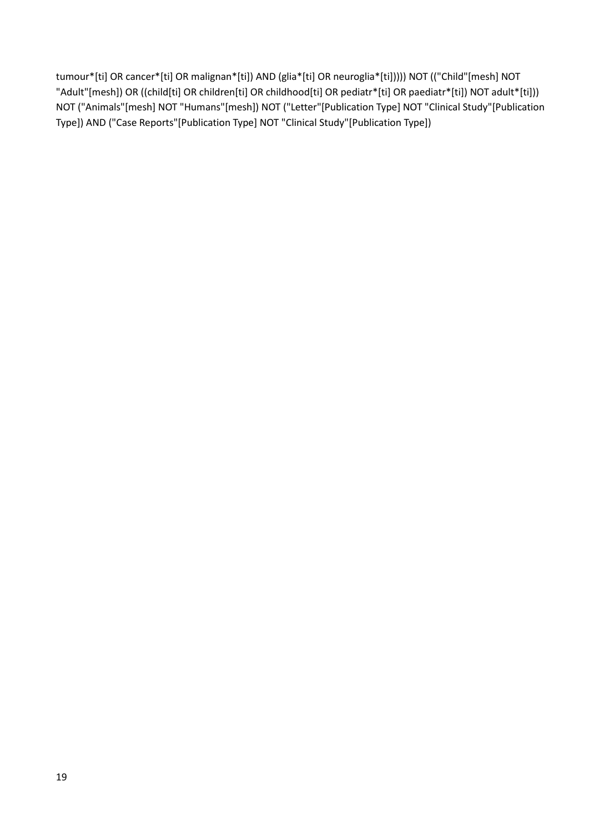tumour\*[ti] OR cancer\*[ti] OR malignan\*[ti]) AND (glia\*[ti] OR neuroglia\*[ti])))) NOT (("Child"[mesh] NOT "Adult"[mesh]) OR ((child[ti] OR children[ti] OR childhood[ti] OR pediatr\*[ti] OR paediatr\*[ti]) NOT adult\*[ti])) NOT ("Animals"[mesh] NOT "Humans"[mesh]) NOT ("Letter"[Publication Type] NOT "Clinical Study"[Publication Type]) AND ("Case Reports"[Publication Type] NOT "Clinical Study"[Publication Type])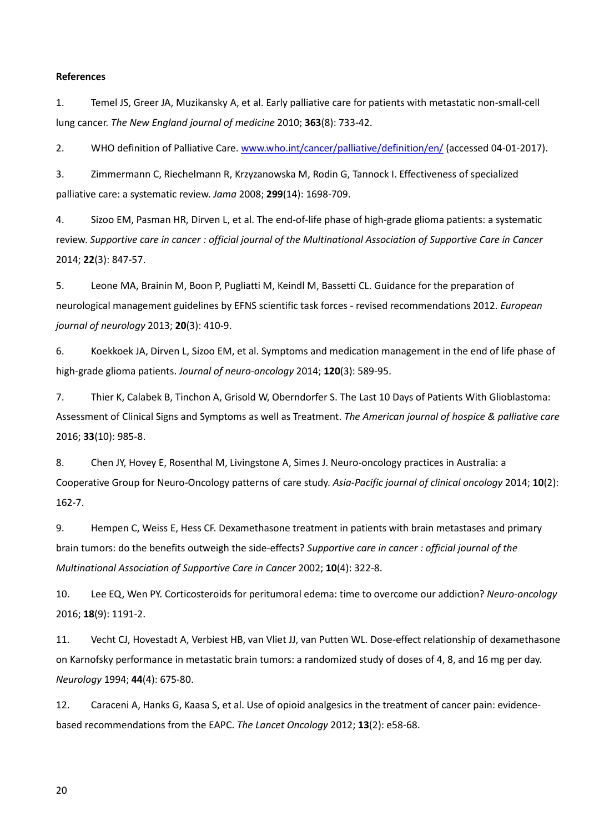## **References**

1. Temel JS, Greer JA, Muzikansky A, et al. Early palliative care for patients with metastatic non-small-cell lung cancer. *The New England journal of medicine* 2010; **363**(8): 733-42.

2. WHO definition of Palliative Care. [www.who.int/cancer/palliative/definition/en/](http://www.who.int/cancer/palliative/definition/en/) (accessed 04-01-2017).

3. Zimmermann C, Riechelmann R, Krzyzanowska M, Rodin G, Tannock I. Effectiveness of specialized palliative care: a systematic review. *Jama* 2008; **299**(14): 1698-709.

4. Sizoo EM, Pasman HR, Dirven L, et al. The end-of-life phase of high-grade glioma patients: a systematic review. *Supportive care in cancer : official journal of the Multinational Association of Supportive Care in Cancer* 2014; **22**(3): 847-57.

5. Leone MA, Brainin M, Boon P, Pugliatti M, Keindl M, Bassetti CL. Guidance for the preparation of neurological management guidelines by EFNS scientific task forces - revised recommendations 2012. *European journal of neurology* 2013; **20**(3): 410-9.

6. Koekkoek JA, Dirven L, Sizoo EM, et al. Symptoms and medication management in the end of life phase of high-grade glioma patients. *Journal of neuro-oncology* 2014; **120**(3): 589-95.

7. Thier K, Calabek B, Tinchon A, Grisold W, Oberndorfer S. The Last 10 Days of Patients With Glioblastoma: Assessment of Clinical Signs and Symptoms as well as Treatment. *The American journal of hospice & palliative care* 2016; **33**(10): 985-8.

8. Chen JY, Hovey E, Rosenthal M, Livingstone A, Simes J. Neuro-oncology practices in Australia: a Cooperative Group for Neuro-Oncology patterns of care study. *Asia-Pacific journal of clinical oncology* 2014; **10**(2): 162-7.

9. Hempen C, Weiss E, Hess CF. Dexamethasone treatment in patients with brain metastases and primary brain tumors: do the benefits outweigh the side-effects? *Supportive care in cancer : official journal of the Multinational Association of Supportive Care in Cancer* 2002; **10**(4): 322-8.

10. Lee EQ, Wen PY. Corticosteroids for peritumoral edema: time to overcome our addiction? *Neuro-oncology* 2016; **18**(9): 1191-2.

11. Vecht CJ, Hovestadt A, Verbiest HB, van Vliet JJ, van Putten WL. Dose-effect relationship of dexamethasone on Karnofsky performance in metastatic brain tumors: a randomized study of doses of 4, 8, and 16 mg per day. *Neurology* 1994; **44**(4): 675-80.

12. Caraceni A, Hanks G, Kaasa S, et al. Use of opioid analgesics in the treatment of cancer pain: evidencebased recommendations from the EAPC. *The Lancet Oncology* 2012; **13**(2): e58-68.

20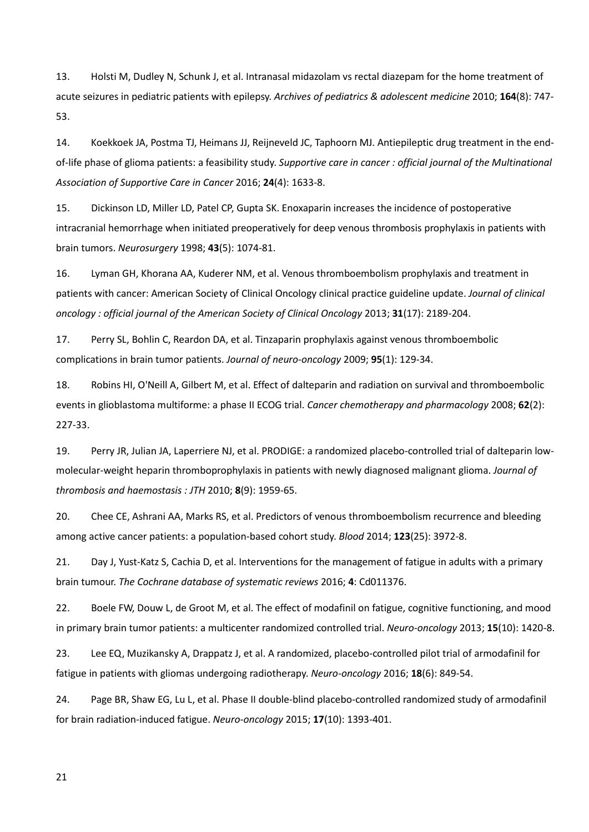13. Holsti M, Dudley N, Schunk J, et al. Intranasal midazolam vs rectal diazepam for the home treatment of acute seizures in pediatric patients with epilepsy. *Archives of pediatrics & adolescent medicine* 2010; **164**(8): 747- 53.

14. Koekkoek JA, Postma TJ, Heimans JJ, Reijneveld JC, Taphoorn MJ. Antiepileptic drug treatment in the endof-life phase of glioma patients: a feasibility study. *Supportive care in cancer : official journal of the Multinational Association of Supportive Care in Cancer* 2016; **24**(4): 1633-8.

15. Dickinson LD, Miller LD, Patel CP, Gupta SK. Enoxaparin increases the incidence of postoperative intracranial hemorrhage when initiated preoperatively for deep venous thrombosis prophylaxis in patients with brain tumors. *Neurosurgery* 1998; **43**(5): 1074-81.

16. Lyman GH, Khorana AA, Kuderer NM, et al. Venous thromboembolism prophylaxis and treatment in patients with cancer: American Society of Clinical Oncology clinical practice guideline update. *Journal of clinical oncology : official journal of the American Society of Clinical Oncology* 2013; **31**(17): 2189-204.

17. Perry SL, Bohlin C, Reardon DA, et al. Tinzaparin prophylaxis against venous thromboembolic complications in brain tumor patients. *Journal of neuro-oncology* 2009; **95**(1): 129-34.

18. Robins HI, O'Neill A, Gilbert M, et al. Effect of dalteparin and radiation on survival and thromboembolic events in glioblastoma multiforme: a phase II ECOG trial. *Cancer chemotherapy and pharmacology* 2008; **62**(2): 227-33.

19. Perry JR, Julian JA, Laperriere NJ, et al. PRODIGE: a randomized placebo-controlled trial of dalteparin lowmolecular-weight heparin thromboprophylaxis in patients with newly diagnosed malignant glioma. *Journal of thrombosis and haemostasis : JTH* 2010; **8**(9): 1959-65.

20. Chee CE, Ashrani AA, Marks RS, et al. Predictors of venous thromboembolism recurrence and bleeding among active cancer patients: a population-based cohort study. *Blood* 2014; **123**(25): 3972-8.

21. Day J, Yust-Katz S, Cachia D, et al. Interventions for the management of fatigue in adults with a primary brain tumour. *The Cochrane database of systematic reviews* 2016; **4**: Cd011376.

22. Boele FW, Douw L, de Groot M, et al. The effect of modafinil on fatigue, cognitive functioning, and mood in primary brain tumor patients: a multicenter randomized controlled trial. *Neuro-oncology* 2013; **15**(10): 1420-8.

23. Lee EQ, Muzikansky A, Drappatz J, et al. A randomized, placebo-controlled pilot trial of armodafinil for fatigue in patients with gliomas undergoing radiotherapy. *Neuro-oncology* 2016; **18**(6): 849-54.

24. Page BR, Shaw EG, Lu L, et al. Phase II double-blind placebo-controlled randomized study of armodafinil for brain radiation-induced fatigue. *Neuro-oncology* 2015; **17**(10): 1393-401.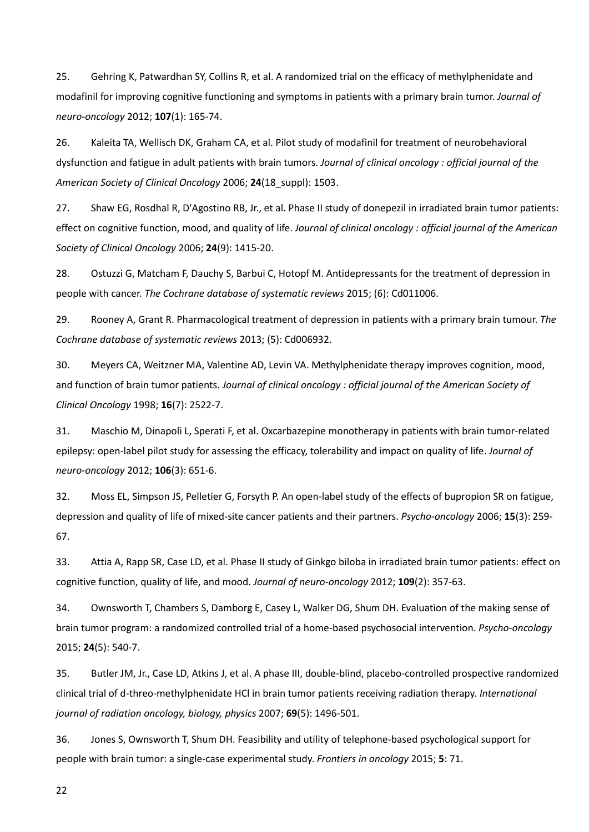25. Gehring K, Patwardhan SY, Collins R, et al. A randomized trial on the efficacy of methylphenidate and modafinil for improving cognitive functioning and symptoms in patients with a primary brain tumor. *Journal of neuro-oncology* 2012; **107**(1): 165-74.

26. Kaleita TA, Wellisch DK, Graham CA, et al. Pilot study of modafinil for treatment of neurobehavioral dysfunction and fatigue in adult patients with brain tumors. *Journal of clinical oncology : official journal of the American Society of Clinical Oncology* 2006; **24**(18\_suppl): 1503.

27. Shaw EG, Rosdhal R, D'Agostino RB, Jr., et al. Phase II study of donepezil in irradiated brain tumor patients: effect on cognitive function, mood, and quality of life. *Journal of clinical oncology : official journal of the American Society of Clinical Oncology* 2006; **24**(9): 1415-20.

28. Ostuzzi G, Matcham F, Dauchy S, Barbui C, Hotopf M. Antidepressants for the treatment of depression in people with cancer. *The Cochrane database of systematic reviews* 2015; (6): Cd011006.

29. Rooney A, Grant R. Pharmacological treatment of depression in patients with a primary brain tumour. *The Cochrane database of systematic reviews* 2013; (5): Cd006932.

30. Meyers CA, Weitzner MA, Valentine AD, Levin VA. Methylphenidate therapy improves cognition, mood, and function of brain tumor patients. *Journal of clinical oncology : official journal of the American Society of Clinical Oncology* 1998; **16**(7): 2522-7.

31. Maschio M, Dinapoli L, Sperati F, et al. Oxcarbazepine monotherapy in patients with brain tumor-related epilepsy: open-label pilot study for assessing the efficacy, tolerability and impact on quality of life. *Journal of neuro-oncology* 2012; **106**(3): 651-6.

32. Moss EL, Simpson JS, Pelletier G, Forsyth P. An open-label study of the effects of bupropion SR on fatigue, depression and quality of life of mixed-site cancer patients and their partners. *Psycho-oncology* 2006; **15**(3): 259- 67.

33. Attia A, Rapp SR, Case LD, et al. Phase II study of Ginkgo biloba in irradiated brain tumor patients: effect on cognitive function, quality of life, and mood. *Journal of neuro-oncology* 2012; **109**(2): 357-63.

34. Ownsworth T, Chambers S, Damborg E, Casey L, Walker DG, Shum DH. Evaluation of the making sense of brain tumor program: a randomized controlled trial of a home-based psychosocial intervention. *Psycho-oncology* 2015; **24**(5): 540-7.

35. Butler JM, Jr., Case LD, Atkins J, et al. A phase III, double-blind, placebo-controlled prospective randomized clinical trial of d-threo-methylphenidate HCl in brain tumor patients receiving radiation therapy. *International journal of radiation oncology, biology, physics* 2007; **69**(5): 1496-501.

36. Jones S, Ownsworth T, Shum DH. Feasibility and utility of telephone-based psychological support for people with brain tumor: a single-case experimental study. *Frontiers in oncology* 2015; **5**: 71.

22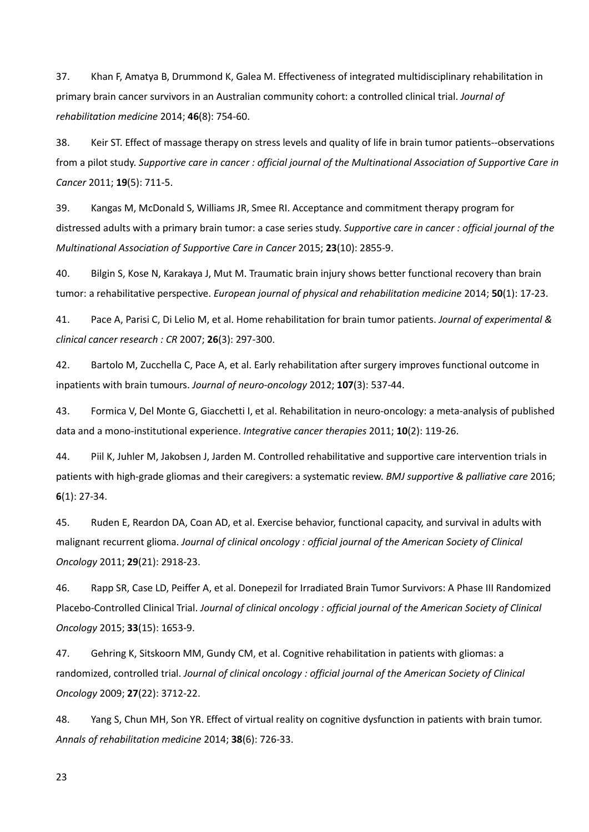37. Khan F, Amatya B, Drummond K, Galea M. Effectiveness of integrated multidisciplinary rehabilitation in primary brain cancer survivors in an Australian community cohort: a controlled clinical trial. *Journal of rehabilitation medicine* 2014; **46**(8): 754-60.

38. Keir ST. Effect of massage therapy on stress levels and quality of life in brain tumor patients--observations from a pilot study. *Supportive care in cancer : official journal of the Multinational Association of Supportive Care in Cancer* 2011; **19**(5): 711-5.

39. Kangas M, McDonald S, Williams JR, Smee RI. Acceptance and commitment therapy program for distressed adults with a primary brain tumor: a case series study. *Supportive care in cancer : official journal of the Multinational Association of Supportive Care in Cancer* 2015; **23**(10): 2855-9.

40. Bilgin S, Kose N, Karakaya J, Mut M. Traumatic brain injury shows better functional recovery than brain tumor: a rehabilitative perspective. *European journal of physical and rehabilitation medicine* 2014; **50**(1): 17-23.

41. Pace A, Parisi C, Di Lelio M, et al. Home rehabilitation for brain tumor patients. *Journal of experimental & clinical cancer research : CR* 2007; **26**(3): 297-300.

42. Bartolo M, Zucchella C, Pace A, et al. Early rehabilitation after surgery improves functional outcome in inpatients with brain tumours. *Journal of neuro-oncology* 2012; **107**(3): 537-44.

43. Formica V, Del Monte G, Giacchetti I, et al. Rehabilitation in neuro-oncology: a meta-analysis of published data and a mono-institutional experience. *Integrative cancer therapies* 2011; **10**(2): 119-26.

44. Piil K, Juhler M, Jakobsen J, Jarden M. Controlled rehabilitative and supportive care intervention trials in patients with high-grade gliomas and their caregivers: a systematic review. *BMJ supportive & palliative care* 2016; **6**(1): 27-34.

45. Ruden E, Reardon DA, Coan AD, et al. Exercise behavior, functional capacity, and survival in adults with malignant recurrent glioma. *Journal of clinical oncology : official journal of the American Society of Clinical Oncology* 2011; **29**(21): 2918-23.

46. Rapp SR, Case LD, Peiffer A, et al. Donepezil for Irradiated Brain Tumor Survivors: A Phase III Randomized Placebo-Controlled Clinical Trial. *Journal of clinical oncology : official journal of the American Society of Clinical Oncology* 2015; **33**(15): 1653-9.

47. Gehring K, Sitskoorn MM, Gundy CM, et al. Cognitive rehabilitation in patients with gliomas: a randomized, controlled trial. *Journal of clinical oncology : official journal of the American Society of Clinical Oncology* 2009; **27**(22): 3712-22.

48. Yang S, Chun MH, Son YR. Effect of virtual reality on cognitive dysfunction in patients with brain tumor. *Annals of rehabilitation medicine* 2014; **38**(6): 726-33.

23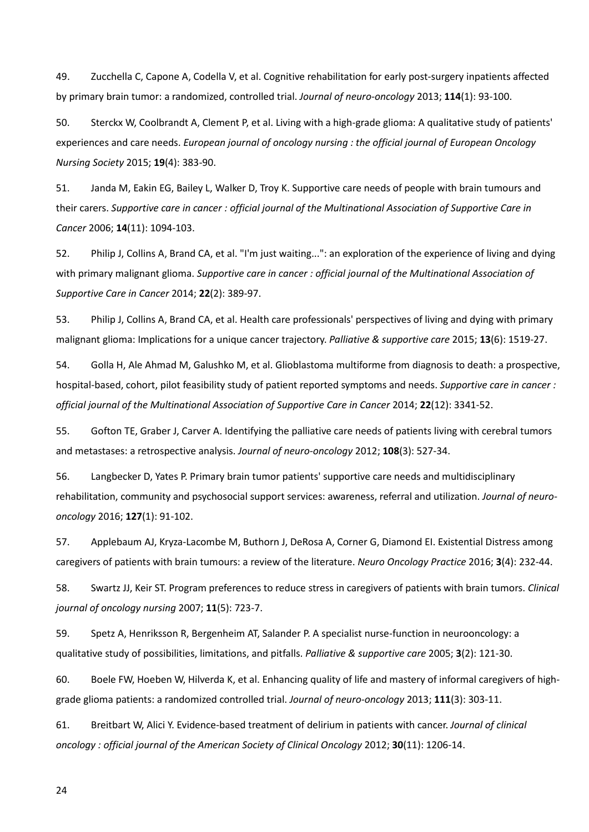49. Zucchella C, Capone A, Codella V, et al. Cognitive rehabilitation for early post-surgery inpatients affected by primary brain tumor: a randomized, controlled trial. *Journal of neuro-oncology* 2013; **114**(1): 93-100.

50. Sterckx W, Coolbrandt A, Clement P, et al. Living with a high-grade glioma: A qualitative study of patients' experiences and care needs. *European journal of oncology nursing : the official journal of European Oncology Nursing Society* 2015; **19**(4): 383-90.

51. Janda M, Eakin EG, Bailey L, Walker D, Troy K. Supportive care needs of people with brain tumours and their carers. *Supportive care in cancer : official journal of the Multinational Association of Supportive Care in Cancer* 2006; **14**(11): 1094-103.

52. Philip J, Collins A, Brand CA, et al. "I'm just waiting...": an exploration of the experience of living and dying with primary malignant glioma. *Supportive care in cancer : official journal of the Multinational Association of Supportive Care in Cancer* 2014; **22**(2): 389-97.

53. Philip J, Collins A, Brand CA, et al. Health care professionals' perspectives of living and dying with primary malignant glioma: Implications for a unique cancer trajectory. *Palliative & supportive care* 2015; **13**(6): 1519-27.

54. Golla H, Ale Ahmad M, Galushko M, et al. Glioblastoma multiforme from diagnosis to death: a prospective, hospital-based, cohort, pilot feasibility study of patient reported symptoms and needs. *Supportive care in cancer : official journal of the Multinational Association of Supportive Care in Cancer* 2014; **22**(12): 3341-52.

55. Gofton TE, Graber J, Carver A. Identifying the palliative care needs of patients living with cerebral tumors and metastases: a retrospective analysis. *Journal of neuro-oncology* 2012; **108**(3): 527-34.

56. Langbecker D, Yates P. Primary brain tumor patients' supportive care needs and multidisciplinary rehabilitation, community and psychosocial support services: awareness, referral and utilization. *Journal of neurooncology* 2016; **127**(1): 91-102.

57. Applebaum AJ, Kryza-Lacombe M, Buthorn J, DeRosa A, Corner G, Diamond EI. Existential Distress among caregivers of patients with brain tumours: a review of the literature. *Neuro Oncology Practice* 2016; **3**(4): 232-44.

58. Swartz JJ, Keir ST. Program preferences to reduce stress in caregivers of patients with brain tumors. *Clinical journal of oncology nursing* 2007; **11**(5): 723-7.

59. Spetz A, Henriksson R, Bergenheim AT, Salander P. A specialist nurse-function in neurooncology: a qualitative study of possibilities, limitations, and pitfalls. *Palliative & supportive care* 2005; **3**(2): 121-30.

60. Boele FW, Hoeben W, Hilverda K, et al. Enhancing quality of life and mastery of informal caregivers of highgrade glioma patients: a randomized controlled trial. *Journal of neuro-oncology* 2013; **111**(3): 303-11.

61. Breitbart W, Alici Y. Evidence-based treatment of delirium in patients with cancer. *Journal of clinical oncology : official journal of the American Society of Clinical Oncology* 2012; **30**(11): 1206-14.